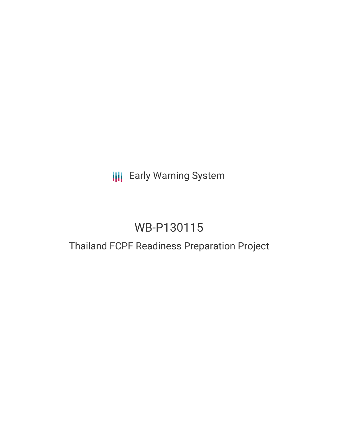# **III** Early Warning System

# WB-P130115

# Thailand FCPF Readiness Preparation Project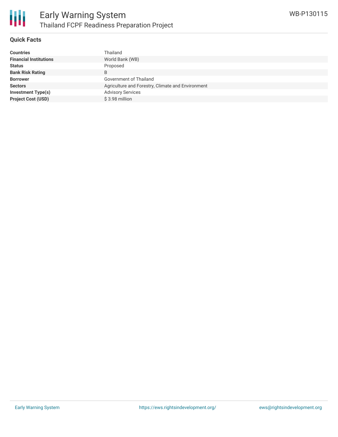

# **Quick Facts**

| <b>Countries</b>              | Thailand                                          |
|-------------------------------|---------------------------------------------------|
| <b>Financial Institutions</b> | World Bank (WB)                                   |
| <b>Status</b>                 | Proposed                                          |
| <b>Bank Risk Rating</b>       | B                                                 |
| <b>Borrower</b>               | Government of Thailand                            |
| <b>Sectors</b>                | Agriculture and Forestry, Climate and Environment |
| <b>Investment Type(s)</b>     | <b>Advisory Services</b>                          |
| <b>Project Cost (USD)</b>     | \$3.98 million                                    |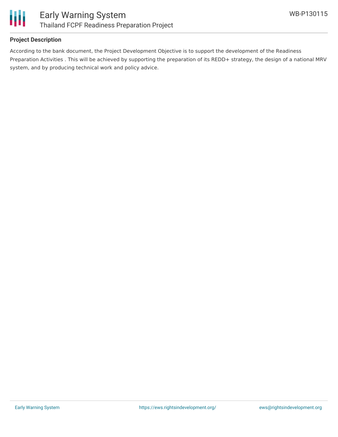

# **Project Description**

According to the bank document, the Project Development Objective is to support the development of the Readiness Preparation Activities . This will be achieved by supporting the preparation of its REDD+ strategy, the design of a national MRV system, and by producing technical work and policy advice.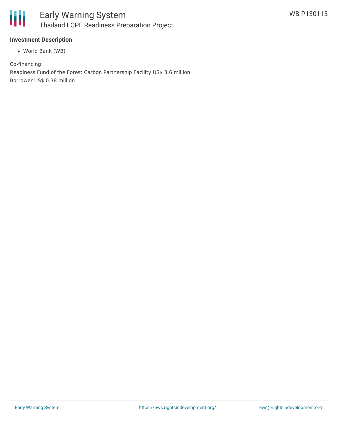

## **Investment Description**

World Bank (WB)

Co-financing: Readiness Fund of the Forest Carbon Partnership Facility US\$ 3.6 million Borrower US\$ 0.38 million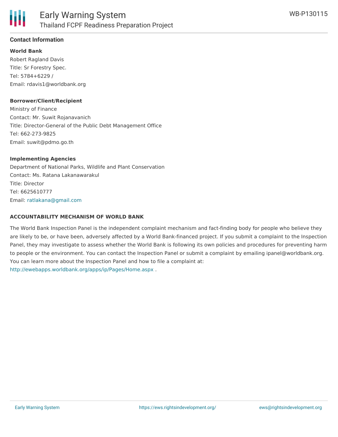

# **Contact Information**

**World Bank** Robert Ragland Davis Title: Sr Forestry Spec. Tel: 5784+6229 / Email: rdavis1@worldbank.org

#### **Borrower/Client/Recipient**

Ministry of Finance Contact: Mr. Suwit Rojanavanich Title: Director-General of the Public Debt Management Office Tel: 662-273-9825 Email: suwit@pdmo.go.th

## **Implementing Agencies**

Department of National Parks, Wildlife and Plant Conservation Contact: Ms. Ratana Lakanawarakul Title: Director Tel: 6625610777 Email: [ratlakana@gmail.com](mailto:ratlakana@gmail.com)

## **ACCOUNTABILITY MECHANISM OF WORLD BANK**

The World Bank Inspection Panel is the independent complaint mechanism and fact-finding body for people who believe they are likely to be, or have been, adversely affected by a World Bank-financed project. If you submit a complaint to the Inspection Panel, they may investigate to assess whether the World Bank is following its own policies and procedures for preventing harm to people or the environment. You can contact the Inspection Panel or submit a complaint by emailing ipanel@worldbank.org. You can learn more about the Inspection Panel and how to file a complaint at: <http://ewebapps.worldbank.org/apps/ip/Pages/Home.aspx> .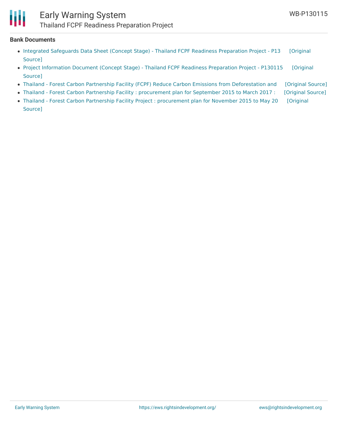

# Early Warning System Thailand FCPF Readiness Preparation Project

#### **Bank Documents**

- Integrated Safeguards Data Sheet (Concept Stage) Thailand FCPF Readiness [Preparation](https://ewsdata.rightsindevelopment.org/files/documents/15/WB-P130115_l3FsXbJ.pdf) Project P13 [Original Source]
- Project Information Document (Concept Stage) Thailand FCPF Readiness [Preparation](https://ewsdata.rightsindevelopment.org/files/documents/15/WB-P130115_BjuzTqR.pdf) Project P130115 [Original Source]
- Thailand Forest Carbon Partnership Facility (FCPF) Reduce Carbon Emissions from [Deforestation](https://ewsdata.rightsindevelopment.org/files/documents/15/WB-P130115.pdf) and [\[Original](http://documents.worldbank.org/curated/en/2016/09/26786375/thailand-forest-carbon-partnership-facility-fcpf-reduce-carbon-emissions-deforestation-degradation-redd-readiness-project) Source]
- Thailand Forest Carbon Partnership Facility : [procurement](https://ewsdata.rightsindevelopment.org/files/documents/15/WB-P130115_WgnH2tw.pdf) plan for September 2015 to March 2017 : [\[Original](http://documents.worldbank.org/curated/en/2015/04/24411562/thailand-forest-carbon-partnership-facility-procurement-plan-september-2015-march-2017-thailand-forest-carbon-partnership-facility-procurement-plan-september-2015-march-2017) Source]
- Thailand Forest Carbon Partnership Facility Project : [procurement](https://ewsdata.rightsindevelopment.org/files/documents/15/WB-P130115_v9Rf7MR.pdf) plan for November 2015 to May 20 [Original Source]